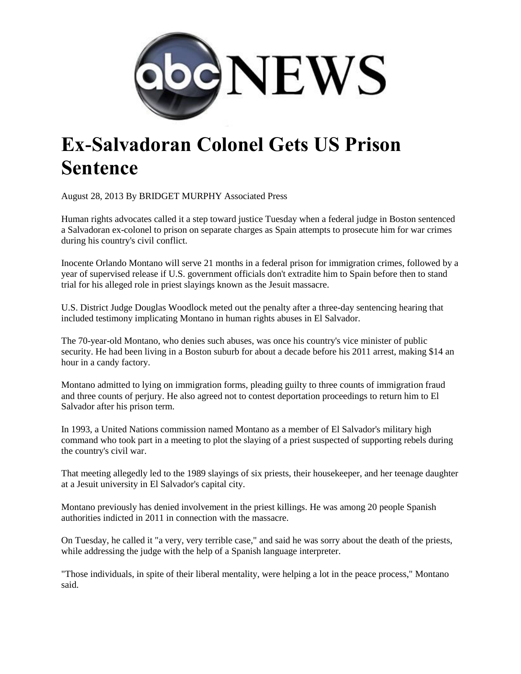

## **Ex-Salvadoran Colonel Gets US Prison Sentence**

August 28, 2013 By BRIDGET MURPHY Associated Press

Human rights advocates called it a step toward justice Tuesday when a federal judge in Boston sentenced a Salvadoran ex-colonel to prison on separate charges as Spain attempts to prosecute him for war crimes during his country's civil conflict.

Inocente Orlando Montano will serve 21 months in a federal prison for immigration crimes, followed by a year of supervised release if U.S. government officials don't extradite him to Spain before then to stand trial for his alleged role in priest slayings known as the Jesuit massacre.

U.S. District Judge Douglas Woodlock meted out the penalty after a three-day sentencing hearing that included testimony implicating Montano in human rights abuses in El Salvador.

The 70-year-old Montano, who denies such abuses, was once his country's vice minister of public security. He had been living in a Boston suburb for about a decade before his 2011 arrest, making \$14 an hour in a candy factory.

Montano admitted to lying on immigration forms, pleading guilty to three counts of immigration fraud and three counts of perjury. He also agreed not to contest deportation proceedings to return him to El Salvador after his prison term.

In 1993, a United Nations commission named Montano as a member of El Salvador's military high command who took part in a meeting to plot the slaying of a priest suspected of supporting rebels during the country's civil war.

That meeting allegedly led to the 1989 slayings of six priests, their housekeeper, and her teenage daughter at a Jesuit university in El Salvador's capital city.

Montano previously has denied involvement in the priest killings. He was among 20 people Spanish authorities indicted in 2011 in connection with the massacre.

On Tuesday, he called it "a very, very terrible case," and said he was sorry about the death of the priests, while addressing the judge with the help of a Spanish language interpreter.

"Those individuals, in spite of their liberal mentality, were helping a lot in the peace process," Montano said.